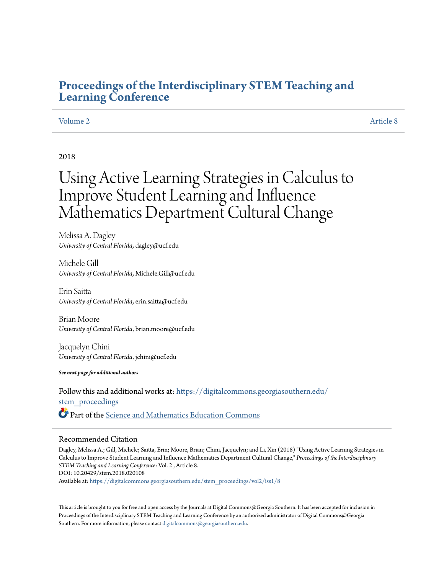# **[Proceedings of the Interdisciplinary STEM Teaching and](https://digitalcommons.georgiasouthern.edu/stem_proceedings?utm_source=digitalcommons.georgiasouthern.edu%2Fstem_proceedings%2Fvol2%2Fiss1%2F8&utm_medium=PDF&utm_campaign=PDFCoverPages) [Learning Conference](https://digitalcommons.georgiasouthern.edu/stem_proceedings?utm_source=digitalcommons.georgiasouthern.edu%2Fstem_proceedings%2Fvol2%2Fiss1%2F8&utm_medium=PDF&utm_campaign=PDFCoverPages)**

# [Volume 2](https://digitalcommons.georgiasouthern.edu/stem_proceedings/vol2?utm_source=digitalcommons.georgiasouthern.edu%2Fstem_proceedings%2Fvol2%2Fiss1%2F8&utm_medium=PDF&utm_campaign=PDFCoverPages) [Article 8](https://digitalcommons.georgiasouthern.edu/stem_proceedings/vol2/iss1/8?utm_source=digitalcommons.georgiasouthern.edu%2Fstem_proceedings%2Fvol2%2Fiss1%2F8&utm_medium=PDF&utm_campaign=PDFCoverPages)

# 2018

# Using Active Learning Strategies in Calculus to Improve Student Learning and Influence Mathematics Department Cultural Change

Melissa A. Dagley *University of Central Florida*, dagley@ucf.edu

Michele Gill *University of Central Florida*, Michele.Gill@ucf.edu

Erin Saitta *University of Central Florida*, erin.saitta@ucf.edu

Brian Moore *University of Central Florida*, brian.moore@ucf.edu

Jacquelyn Chini *University of Central Florida*, jchini@ucf.edu

*See next page for additional authors*

Follow this and additional works at: [https://digitalcommons.georgiasouthern.edu/](https://digitalcommons.georgiasouthern.edu/stem_proceedings?utm_source=digitalcommons.georgiasouthern.edu%2Fstem_proceedings%2Fvol2%2Fiss1%2F8&utm_medium=PDF&utm_campaign=PDFCoverPages) stem proceedings Part of the [Science and Mathematics Education Commons](http://network.bepress.com/hgg/discipline/800?utm_source=digitalcommons.georgiasouthern.edu%2Fstem_proceedings%2Fvol2%2Fiss1%2F8&utm_medium=PDF&utm_campaign=PDFCoverPages)

### Recommended Citation

Dagley, Melissa A.; Gill, Michele; Saitta, Erin; Moore, Brian; Chini, Jacquelyn; and Li, Xin (2018) "Using Active Learning Strategies in Calculus to Improve Student Learning and Influence Mathematics Department Cultural Change," *Proceedings of the Interdisciplinary STEM Teaching and Learning Conference*: Vol. 2 , Article 8. DOI: 10.20429/stem.2018.020108

Available at: [https://digitalcommons.georgiasouthern.edu/stem\\_proceedings/vol2/iss1/8](https://digitalcommons.georgiasouthern.edu/stem_proceedings/vol2/iss1/8?utm_source=digitalcommons.georgiasouthern.edu%2Fstem_proceedings%2Fvol2%2Fiss1%2F8&utm_medium=PDF&utm_campaign=PDFCoverPages)

This article is brought to you for free and open access by the Journals at Digital Commons@Georgia Southern. It has been accepted for inclusion in Proceedings of the Interdisciplinary STEM Teaching and Learning Conference by an authorized administrator of Digital Commons@Georgia Southern. For more information, please contact [digitalcommons@georgiasouthern.edu.](mailto:digitalcommons@georgiasouthern.edu)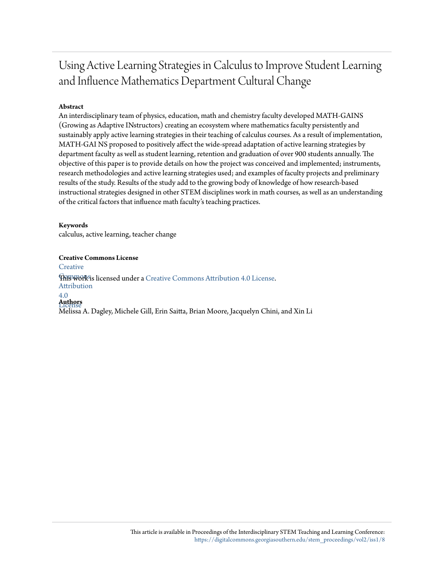# Using Active Learning Strategies in Calculus to Improve Student Learning and Influence Mathematics Department Cultural Change

# **Abstract**

An interdisciplinary team of physics, education, math and chemistry faculty developed MATH-GAINS (Growing as Adaptive INstructors) creating an ecosystem where mathematics faculty persistently and sustainably apply active learning strategies in their teaching of calculus courses. As a result of implementation, MATH-GAI NS proposed to positively affect the wide-spread adaptation of active learning strategies by department faculty as well as student learning, retention and graduation of over 900 students annually. The objective of this paper is to provide details on how the project was conceived and implemented; instruments, research methodologies and active learning strategies used; and examples of faculty projects and preliminary results of the study. Results of the study add to the growing body of knowledge of how research-based instructional strategies designed in other STEM disciplines work in math courses, as well as an understanding of the critical factors that influence math faculty's teaching practices.

# **Keywords**

calculus, active learning, teacher change

### **Creative Commons License**

**[Creative](http://creativecommons.org/licenses/by/4.0/)** 

**This work is licensed under a** [Creative Commons Attribution 4.0 License.](http://creativecommons.org/licenses/by/4.0/) Attribution

# 4.0

License **Authors**

Melissa A. Dagley, Michele Gill, Erin Saitta, Brian Moore, Jacquelyn Chini, and Xin Li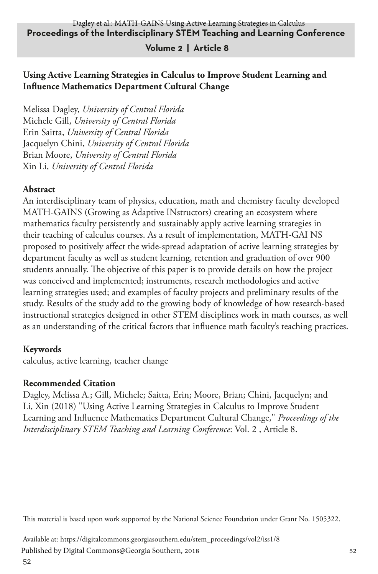## **Volume 2 | Article 8**

# **Using Active Learning Strategies in Calculus to Improve Student Learning and Influence Mathematics Department Cultural Change**

Melissa Dagley, *University of Central Florida* Michele Gill, *University of Central Florida* Erin Saitta, *University of Central Florida* Jacquelyn Chini, *University of Central Florida* Brian Moore, *University of Central Florida* Xin Li, *University of Central Florida*

# **Abstract**

An interdisciplinary team of physics, education, math and chemistry faculty developed MATH-GAINS (Growing as Adaptive INstructors) creating an ecosystem where mathematics faculty persistently and sustainably apply active learning strategies in their teaching of calculus courses. As a result of implementation, MATH-GAI NS proposed to positively affect the wide-spread adaptation of active learning strategies by department faculty as well as student learning, retention and graduation of over 900 students annually. The objective of this paper is to provide details on how the project was conceived and implemented; instruments, research methodologies and active learning strategies used; and examples of faculty projects and preliminary results of the study. Results of the study add to the growing body of knowledge of how research-based instructional strategies designed in other STEM disciplines work in math courses, as well as an understanding of the critical factors that influence math faculty's teaching practices.

## **Keywords**

calculus, active learning, teacher change

## **Recommended Citation**

Dagley, Melissa A.; Gill, Michele; Saitta, Erin; Moore, Brian; Chini, Jacquelyn; and Li, Xin (2018) "Using Active Learning Strategies in Calculus to Improve Student Learning and Influence Mathematics Department Cultural Change," *Proceedings of the Interdisciplinary STEM Teaching and Learning Conference*: Vol. 2 , Article 8.

This material is based upon work supported by the National Science Foundation under Grant No. 1505322.

Available at: https://digitalcommons.georgiasouthern.edu/stem\_proceedings/vol2/iss1/8 Published by Digital Commons@Georgia Southern, 2018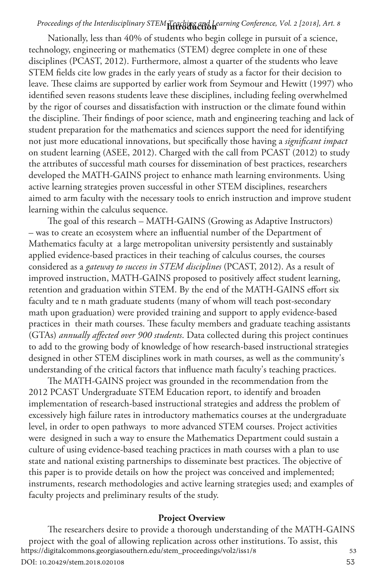# **Introduction** *Proceedings of the Interdisciplinary STEM Teaching and Learning Conference, Vol. 2 [2018], Art. 8*

Nationally, less than 40% of students who begin college in pursuit of a science, technology, engineering or mathematics (STEM) degree complete in one of these disciplines (PCAST, 2012). Furthermore, almost a quarter of the students who leave STEM fields cite low grades in the early years of study as a factor for their decision to leave. These claims are supported by earlier work from Seymour and Hewitt (1997) who identified seven reasons students leave these disciplines, including feeling overwhelmed by the rigor of courses and dissatisfaction with instruction or the climate found within the discipline. Their findings of poor science, math and engineering teaching and lack of student preparation for the mathematics and sciences support the need for identifying not just more educational innovations, but specifically those having a *significant impact* on student learning (ASEE, 2012). Charged with the call from PCAST (2012) to study the attributes of successful math courses for dissemination of best practices, researchers developed the MATH-GAINS project to enhance math learning environments. Using active learning strategies proven successful in other STEM disciplines, researchers aimed to arm faculty with the necessary tools to enrich instruction and improve student learning within the calculus sequence.

The goal of this research – MATH-GAINS (Growing as Adaptive Instructors) – was to create an ecosystem where an influential number of the Department of Mathematics faculty at a large metropolitan university persistently and sustainably applied evidence-based practices in their teaching of calculus courses, the courses considered as a *gateway to success in STEM disciplines* (PCAST, 2012). As a result of improved instruction, MATH-GAINS proposed to positively affect student learning, retention and graduation within STEM. By the end of the MATH-GAINS effort six faculty and te n math graduate students (many of whom will teach post-secondary math upon graduation) were provided training and support to apply evidence-based practices in their math courses. These faculty members and graduate teaching assistants (GTAs) *annually affected over 900 students*. Data collected during this project continues to add to the growing body of knowledge of how research-based instructional strategies designed in other STEM disciplines work in math courses, as well as the community's understanding of the critical factors that influence math faculty's teaching practices.

The MATH-GAINS project was grounded in the recommendation from the 2012 PCAST Undergraduate STEM Education report, to identify and broaden implementation of research-based instructional strategies and address the problem of excessively high failure rates in introductory mathematics courses at the undergraduate level, in order to open pathways to more advanced STEM courses. Project activities were designed in such a way to ensure the Mathematics Department could sustain a culture of using evidence-based teaching practices in math courses with a plan to use state and national existing partnerships to disseminate best practices. The objective of this paper is to provide details on how the project was conceived and implemented; instruments, research methodologies and active learning strategies used; and examples of faculty projects and preliminary results of the study.

#### **Project Overview**

53 The researchers desire to provide a thorough understanding of the MATH-GAINS project with the goal of allowing replication across other institutions. To assist, this<br>tps://digitalcommons.georgiasouthern.edu/stem\_proceedings/vol2/iss1/8 https://digitalcommons.georgiasouthern.edu/stem\_proceedings/vol2/iss1/8 DOI: 10.20429/stem.2018.020108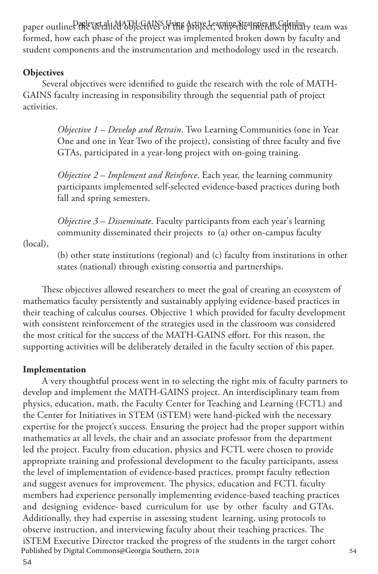paper outline.<sup>D</sup>ife&ttailed objectives of sing Active Learning Strategies in Calculus formed, how each phase of the project was implemented broken down by faculty and student components and the instrumentation and methodology used in the research.

#### **Objectives**

Several objectives were identified to guide the research with the role of MATH-GAINS faculty increasing in responsibility through the sequential path of project activities.

> *Objective 1* – *Develop and Retrain*. Two Learning Communities (one in Year One and one in Year Two of the project), consisting of three faculty and five GTAs, participated in a year-long project with on-going training.

> *Objective 2* – *Implement and Reinforce*. Each year, the learning community participants implemented self-selected evidence-based practices during both fall and spring semesters.

*Objective 3 – Disseminate*. Faculty participants from each year's learning community disseminated their projects to (a) other on-campus faculty

(local),

(b) other state institutions (regional) and (c) faculty from institutions in other states (national) through existing consortia and partnerships.

These objectives allowed researchers to meet the goal of creating an ecosystem of mathematics faculty persistently and sustainably applying evidence-based practices in their teaching of calculus courses. Objective 1 which provided for faculty development with consistent reinforcement of the strategies used in the classroom was considered the most critical for the success of the MATH-GAINS effort. For this reason, the supporting activities will be deliberately detailed in the faculty section of this paper.

#### **Implementation**

A very thoughtful process went in to selecting the right mix of faculty partners to develop and implement the MATH-GAINS project. An interdisciplinary team from physics, education, math, the Faculty Center for Teaching and Learning (FCTL) and the Center for Initiatives in STEM (iSTEM) were hand-picked with the necessary expertise for the project's success. Ensuring the project had the proper support within mathematics at all levels, the chair and an associate professor from the department led the project. Faculty from education, physics and FCTL were chosen to provide appropriate training and professional development to the faculty participants, assess the level of implementation of evidence-based practices, prompt faculty reflection and suggest avenues for improvement. The physics, education and FCTL faculty members had experience personally implementing evidence-based teaching practices and designing evidence- based curriculum for use by other faculty and GTAs. Additionally, they had expertise in assessing student learning, using protocols to observe instruction, and interviewing faculty about their teaching practices. The iSTEM Executive Director tracked the progress of the students in the target cohort<br>Published by Digital Commons@Georgia Southern, 2018 Published by Digital Commons@Georgia Southern, 2018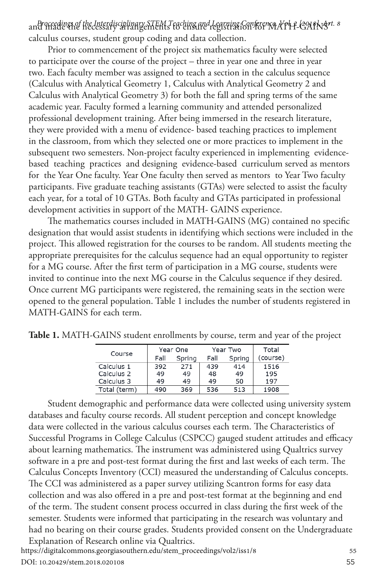and made the necessary arrangements to ensure registration for MATH-GAINS' *Proceedings of the Interdisciplinary STEM Teaching and Learning Conference, Vol. 2 [2018], Art. 8* calculus courses, student group coding and data collection.

Prior to commencement of the project six mathematics faculty were selected to participate over the course of the project – three in year one and three in year two. Each faculty member was assigned to teach a section in the calculus sequence (Calculus with Analytical Geometry 1, Calculus with Analytical Geometry 2 and Calculus with Analytical Geometry 3) for both the fall and spring terms of the same academic year. Faculty formed a learning community and attended personalized professional development training. After being immersed in the research literature, they were provided with a menu of evidence- based teaching practices to implement in the classroom, from which they selected one or more practices to implement in the subsequent two semesters. Non-project faculty experienced in implementing evidencebased teaching practices and designing evidence-based curriculum served as mentors for the Year One faculty. Year One faculty then served as mentors to Year Two faculty participants. Five graduate teaching assistants (GTAs) were selected to assist the faculty each year, for a total of 10 GTAs. Both faculty and GTAs participated in professional development activities in support of the MATH- GAINS experience.

The mathematics courses included in MATH-GAINS (MG) contained no specific designation that would assist students in identifying which sections were included in the project. This allowed registration for the courses to be random. All students meeting the appropriate prerequisites for the calculus sequence had an equal opportunity to register for a MG course. After the first term of participation in a MG course, students were invited to continue into the next MG course in the Calculus sequence if they desired. Once current MG participants were registered, the remaining seats in the section were opened to the general population. Table 1 includes the number of students registered in MATH-GAINS for each term.

| Course       | Year One |        |      | Year Two | Total    |
|--------------|----------|--------|------|----------|----------|
|              | Fall     | Spring | Fall | Spring   | (course) |
| Calculus 1   | 392      | 271    | 439  | 414      | 1516     |
| Calculus 2   | 49       | 49     | 48   | 49       | 195      |
| Calculus 3   | 49       | 49     | 49   | 50       | 197      |
| Total (term) | 490      | 369    | 536  | 513      | 1908     |

**Table 1.** MATH-GAINS student enrollments by course, term and year of the project

Student demographic and performance data were collected using university system databases and faculty course records. All student perception and concept knowledge data were collected in the various calculus courses each term. The Characteristics of Successful Programs in College Calculus (CSPCC) gauged student attitudes and efficacy about learning mathematics. The instrument was administered using Qualtrics survey software in a pre and post-test format during the first and last weeks of each term. The Calculus Concepts Inventory (CCI) measured the understanding of Calculus concepts. The CCI was administered as a paper survey utilizing Scantron forms for easy data collection and was also offered in a pre and post-test format at the beginning and end of the term. The student consent process occurred in class during the first week of the semester. Students were informed that participating in the research was voluntary and had no bearing on their course grades. Students provided consent on the Undergraduate Explanation of Research online via Qualtrics. <sup>55</sup> https://digitalcommons.georgiasouthern.edu/stem\_proceedings/vol2/iss1/8

DOI: 10.20429/stem.2018.020108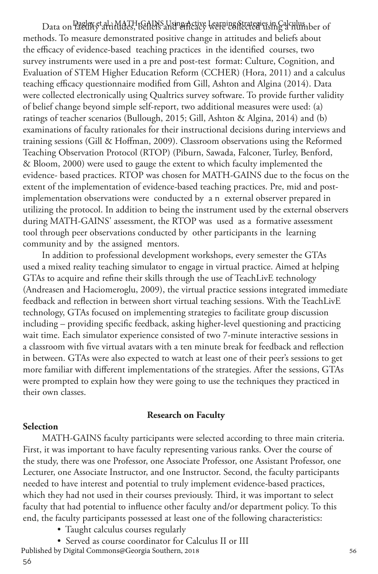Data on PaelfKy<sup>t</sup>altitudes, beliefs using Active kerping fitategies in Galculus ber of methods. To measure demonstrated positive change in attitudes and beliefs about the efficacy of evidence-based teaching practices in the identified courses, two survey instruments were used in a pre and post-test format: Culture, Cognition, and Evaluation of STEM Higher Education Reform (CCHER) (Hora, 2011) and a calculus teaching efficacy questionnaire modified from Gill, Ashton and Algina (2014). Data were collected electronically using Qualtrics survey software. To provide further validity of belief change beyond simple self-report, two additional measures were used: (a) ratings of teacher scenarios (Bullough, 2015; Gill, Ashton & Algina, 2014) and (b) examinations of faculty rationales for their instructional decisions during interviews and training sessions (Gill & Hoffman, 2009). Classroom observations using the Reformed Teaching Observation Protocol (RTOP) (Piburn, Sawada, Falconer, Turley, Benford, & Bloom, 2000) were used to gauge the extent to which faculty implemented the evidence- based practices. RTOP was chosen for MATH-GAINS due to the focus on the extent of the implementation of evidence-based teaching practices. Pre, mid and postimplementation observations were conducted by a n external observer prepared in utilizing the protocol. In addition to being the instrument used by the external observers during MATH-GAINS' assessment, the RTOP was used as a formative assessment tool through peer observations conducted by other participants in the learning community and by the assigned mentors.

In addition to professional development workshops, every semester the GTAs used a mixed reality teaching simulator to engage in virtual practice. Aimed at helping GTAs to acquire and refine their skills through the use of TeachLivE technology (Andreasen and Haciomeroglu, 2009), the virtual practice sessions integrated immediate feedback and reflection in between short virtual teaching sessions. With the TeachLivE technology, GTAs focused on implementing strategies to facilitate group discussion including – providing specific feedback, asking higher-level questioning and practicing wait time. Each simulator experience consisted of two 7-minute interactive sessions in a classroom with five virtual avatars with a ten minute break for feedback and reflection in between. GTAs were also expected to watch at least one of their peer's sessions to get more familiar with different implementations of the strategies. After the sessions, GTAs were prompted to explain how they were going to use the techniques they practiced in their own classes.

#### **Research on Faculty**

#### **Selection**

MATH-GAINS faculty participants were selected according to three main criteria. First, it was important to have faculty representing various ranks. Over the course of the study, there was one Professor, one Associate Professor, one Assistant Professor, one Lecturer, one Associate Instructor, and one Instructor. Second, the faculty participants needed to have interest and potential to truly implement evidence-based practices, which they had not used in their courses previously. Third, it was important to select faculty that had potential to influence other faculty and/or department policy. To this end, the faculty participants possessed at least one of the following characteristics:

- Taught calculus courses regularly
- Served as course coordinator for Calculus II or III<br>w Digital Commons@Georgia Southern, 2018

Published by Digital Commons@Georgia Southern, 2018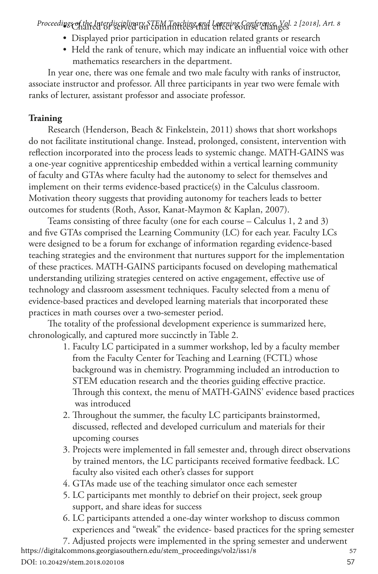• Chaired or served on committees that effect course changes *Proceedings of the Interdisciplinary STEM Teaching and Learning Conference, Vol. 2 [2018], Art. 8*

- Displayed prior participation in education related grants or research
- Held the rank of tenure, which may indicate an influential voice with other mathematics researchers in the department.

In year one, there was one female and two male faculty with ranks of instructor, associate instructor and professor. All three participants in year two were female with ranks of lecturer, assistant professor and associate professor.

## **Training**

Research (Henderson, Beach & Finkelstein, 2011) shows that short workshops do not facilitate institutional change. Instead, prolonged, consistent, intervention with reflection incorporated into the process leads to systemic change. MATH-GAINS was a one-year cognitive apprenticeship embedded within a vertical learning community of faculty and GTAs where faculty had the autonomy to select for themselves and implement on their terms evidence-based practice(s) in the Calculus classroom. Motivation theory suggests that providing autonomy for teachers leads to better outcomes for students (Roth, Assor, Kanat-Maymon & Kaplan, 2007).

Teams consisting of three faculty (one for each course – Calculus 1, 2 and 3) and five GTAs comprised the Learning Community (LC) for each year. Faculty LCs were designed to be a forum for exchange of information regarding evidence-based teaching strategies and the environment that nurtures support for the implementation of these practices. MATH-GAINS participants focused on developing mathematical understanding utilizing strategies centered on active engagement, effective use of technology and classroom assessment techniques. Faculty selected from a menu of evidence-based practices and developed learning materials that incorporated these practices in math courses over a two-semester period.

The totality of the professional development experience is summarized here, chronologically, and captured more succinctly in Table 2.

- 1. Faculty LC participated in a summer workshop, led by a faculty member from the Faculty Center for Teaching and Learning (FCTL) whose background was in chemistry. Programming included an introduction to STEM education research and the theories guiding effective practice. Through this context, the menu of MATH-GAINS' evidence based practices was introduced
- 2. Throughout the summer, the faculty LC participants brainstormed, discussed, reflected and developed curriculum and materials for their upcoming courses
- 3. Projects were implemented in fall semester and, through direct observations by trained mentors, the LC participants received formative feedback. LC faculty also visited each other's classes for support
- 4. GTAs made use of the teaching simulator once each semester
- 5. LC participants met monthly to debrief on their project, seek group support, and share ideas for success
- 6. LC participants attended a one-day winter workshop to discuss common experiences and "tweak" the evidence- based practices for the spring semester

7. Adjusted projects were implemented in the spring semester and underwent <sup>57</sup> https://digitalcommons.georgiasouthern.edu/stem\_proceedings/vol2/iss1/8 DOI: 10.20429/stem.2018.020108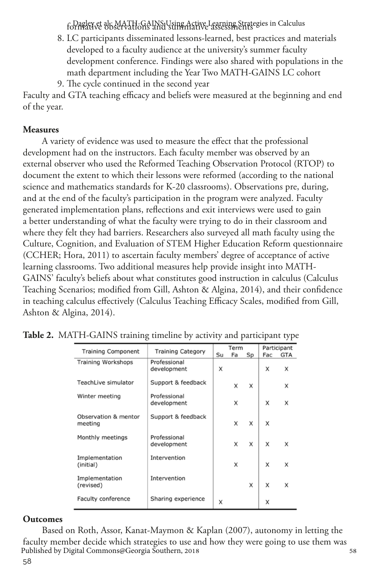formative observations and summative assessments Dagley et al.: MATH-GAINS Using Active Learning Strategies in Calculus

- 8. LC participants disseminated lessons-learned, best practices and materials developed to a faculty audience at the university's summer faculty development conference. Findings were also shared with populations in the math department including the Year Two MATH-GAINS LC cohort
- 9. The cycle continued in the second year

Faculty and GTA teaching efficacy and beliefs were measured at the beginning and end of the year.

### **Measures**

A variety of evidence was used to measure the effect that the professional development had on the instructors. Each faculty member was observed by an external observer who used the Reformed Teaching Observation Protocol (RTOP) to document the extent to which their lessons were reformed (according to the national science and mathematics standards for K-20 classrooms). Observations pre, during, and at the end of the faculty's participation in the program were analyzed. Faculty generated implementation plans, reflections and exit interviews were used to gain a better understanding of what the faculty were trying to do in their classroom and where they felt they had barriers. Researchers also surveyed all math faculty using the Culture, Cognition, and Evaluation of STEM Higher Education Reform questionnaire (CCHER; Hora, 2011) to ascertain faculty members' degree of acceptance of active learning classrooms. Two additional measures help provide insight into MATH-GAINS' faculty's beliefs about what constitutes good instruction in calculus (Calculus Teaching Scenarios; modified from Gill, Ashton & Algina, 2014), and their confidence in teaching calculus effectively (Calculus Teaching Efficacy Scales, modified from Gill, Ashton & Algina, 2014).

| <b>Training Component</b>       | <b>Training Category</b>    | Term |    |    | Participant |            |
|---------------------------------|-----------------------------|------|----|----|-------------|------------|
|                                 |                             | Su   | Fa | Sp | Fac         | <b>GTA</b> |
| Training Workshops              | Professional<br>development | x    |    |    | x           | x          |
| TeachLive simulator             | Support & feedback          |      | x  | x  |             | x          |
| Winter meeting                  | Professional<br>development |      | x  |    | x           | X          |
| Observation & mentor<br>meeting | Support & feedback          |      | x  | x  | x           |            |
| Monthly meetings                | Professional<br>development |      | x  | X  | x           | x          |
| Implementation<br>(initial)     | Intervention                |      | x  |    | x           | X          |
| Implementation<br>(revised)     | Intervention                |      |    | x  | x           | x          |
| Faculty conference              | Sharing experience          | X    |    |    | x           |            |

|  | Table 2. MATH-GAINS training timeline by activity and participant type |  |  |  |  |  |
|--|------------------------------------------------------------------------|--|--|--|--|--|
|--|------------------------------------------------------------------------|--|--|--|--|--|

#### **Outcomes**

Based on Roth, Assor, Kanat-Maymon & Kaplan (2007), autonomy in letting the faculty member decide which strategies to use and how they were going to use them was<br>Published by Digital Commons@Georgia Southern, 2018 Published by Digital Commons@Georgia Southern, 2018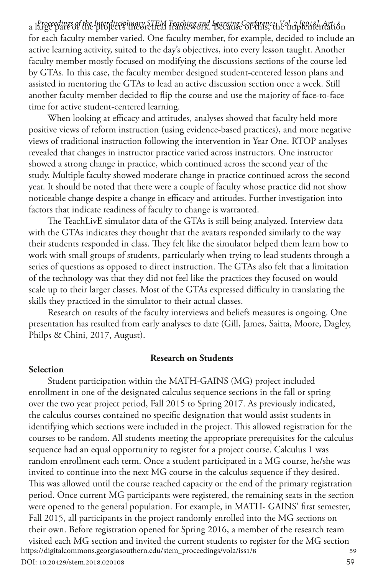a l&rgceedings of the Interdisciplinary STEM Teaching and Irgrainse Conference, Yol. 2 featsl. Art. 8<br>a for each faculty member varied. One faculty member, for example, decided to include an active learning activity, suited to the day's objectives, into every lesson taught. Another faculty member mostly focused on modifying the discussions sections of the course led by GTAs. In this case, the faculty member designed student-centered lesson plans and assisted in mentoring the GTAs to lead an active discussion section once a week. Still another faculty member decided to flip the course and use the majority of face-to-face time for active student-centered learning.

When looking at efficacy and attitudes, analyses showed that faculty held more positive views of reform instruction (using evidence-based practices), and more negative views of traditional instruction following the intervention in Year One. RTOP analyses revealed that changes in instructor practice varied across instructors. One instructor showed a strong change in practice, which continued across the second year of the study. Multiple faculty showed moderate change in practice continued across the second year. It should be noted that there were a couple of faculty whose practice did not show noticeable change despite a change in efficacy and attitudes. Further investigation into factors that indicate readiness of faculty to change is warranted.

The TeachLivE simulator data of the GTAs is still being analyzed. Interview data with the GTAs indicates they thought that the avatars responded similarly to the way their students responded in class. They felt like the simulator helped them learn how to work with small groups of students, particularly when trying to lead students through a series of questions as opposed to direct instruction. The GTAs also felt that a limitation of the technology was that they did not feel like the practices they focused on would scale up to their larger classes. Most of the GTAs expressed difficulty in translating the skills they practiced in the simulator to their actual classes.

Research on results of the faculty interviews and beliefs measures is ongoing. One presentation has resulted from early analyses to date (Gill, James, Saitta, Moore, Dagley, Philps & Chini, 2017, August).

#### **Research on Students**

#### **Selection**

Student participation within the MATH-GAINS (MG) project included enrollment in one of the designated calculus sequence sections in the fall or spring over the two year project period, Fall 2015 to Spring 2017. As previously indicated, the calculus courses contained no specific designation that would assist students in identifying which sections were included in the project. This allowed registration for the courses to be random. All students meeting the appropriate prerequisites for the calculus sequence had an equal opportunity to register for a project course. Calculus 1 was random enrollment each term. Once a student participated in a MG course, he/she was invited to continue into the next MG course in the calculus sequence if they desired. This was allowed until the course reached capacity or the end of the primary registration period. Once current MG participants were registered, the remaining seats in the section were opened to the general population. For example, in MATH- GAINS' first semester, Fall 2015, all participants in the project randomly enrolled into the MG sections on their own. Before registration opened for Spring 2016, a member of the research team visited each MG section and invited the current students to register for the MG section<br>tps://digitalcommons.georgiasouthern.edu/stem\_proceedings/vol2/iss1/8 https://digitalcommons.georgiasouthern.edu/stem\_proceedings/vol2/iss1/8

DOI: 10.20429/stem.2018.020108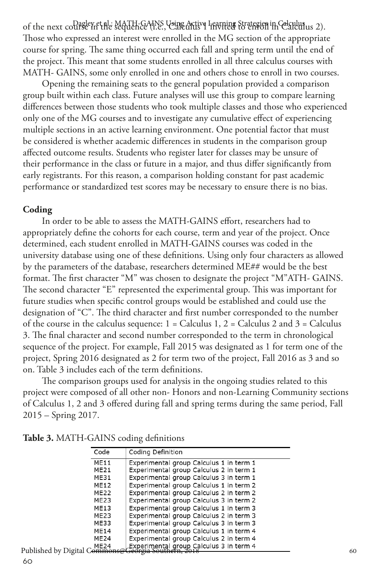of the next collagevet al.: MATH-GAINS Using Active Learning Strategies in Celculus 2). Those who expressed an interest were enrolled in the MG section of the appropriate course for spring. The same thing occurred each fall and spring term until the end of the project. This meant that some students enrolled in all three calculus courses with MATH- GAINS, some only enrolled in one and others chose to enroll in two courses.

Opening the remaining seats to the general population provided a comparison group built within each class. Future analyses will use this group to compare learning differences between those students who took multiple classes and those who experienced only one of the MG courses and to investigate any cumulative effect of experiencing multiple sections in an active learning environment. One potential factor that must be considered is whether academic differences in students in the comparison group affected outcome results. Students who register later for classes may be unsure of their performance in the class or future in a major, and thus differ significantly from early registrants. For this reason, a comparison holding constant for past academic performance or standardized test scores may be necessary to ensure there is no bias.

#### **Coding**

In order to be able to assess the MATH-GAINS effort, researchers had to appropriately define the cohorts for each course, term and year of the project. Once determined, each student enrolled in MATH-GAINS courses was coded in the university database using one of these definitions. Using only four characters as allowed by the parameters of the database, researchers determined ME## would be the best format. The first character "M" was chosen to designate the project "M"ATH- GAINS. The second character "E" represented the experimental group. This was important for future studies when specific control groups would be established and could use the designation of "C". The third character and first number corresponded to the number of the course in the calculus sequence:  $1 =$  Calculus 1,  $2 =$  Calculus 2 and  $3 =$  Calculus 3. The final character and second number corresponded to the term in chronological sequence of the project. For example, Fall 2015 was designated as 1 for term one of the project, Spring 2016 designated as 2 for term two of the project, Fall 2016 as 3 and so on. Table 3 includes each of the term definitions.

The comparison groups used for analysis in the ongoing studies related to this project were composed of all other non- Honors and non-Learning Community sections of Calculus 1, 2 and 3 offered during fall and spring terms during the same period, Fall 2015 – Spring 2017.

|         | Code             | Coding Definition                       |
|---------|------------------|-----------------------------------------|
|         | <b>ME11</b>      | Experimental group Calculus 1 in term 1 |
|         | ME21             | Experimental group Calculus 2 in term 1 |
|         | ME31             | Experimental group Calculus 3 in term 1 |
|         | ME12             | Experimental group Calculus 1 in term 2 |
|         | <b>ME22</b>      | Experimental group Calculus 2 in term 2 |
|         | ME23             | Experimental group Calculus 3 in term 2 |
|         | ME13             | Experimental group Calculus 1 in term 3 |
|         | ME23             | Experimental group Calculus 2 in term 3 |
|         | ME33             | Experimental group Calculus 3 in term 3 |
|         | <b>ME14</b>      | Experimental group Calculus 1 in term 4 |
|         | ME <sub>24</sub> | Experimental group Calculus 2 in term 4 |
| rital C | ME24             | Experimental group Calculus 3 in term 4 |

| Table 3. MATH-GAINS coding definitions |  |
|----------------------------------------|--|
|----------------------------------------|--|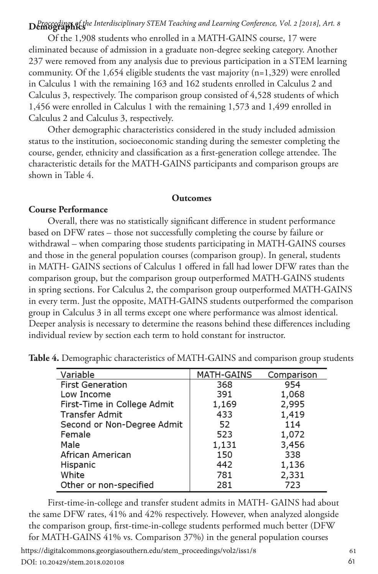# **Demographics** *Proceedings of the Interdisciplinary STEM Teaching and Learning Conference, Vol. 2 [2018], Art. 8*

Of the 1,908 students who enrolled in a MATH-GAINS course, 17 were eliminated because of admission in a graduate non-degree seeking category. Another 237 were removed from any analysis due to previous participation in a STEM learning community. Of the 1,654 eligible students the vast majority (n=1,329) were enrolled in Calculus 1 with the remaining 163 and 162 students enrolled in Calculus 2 and Calculus 3, respectively. The comparison group consisted of 4,528 students of which 1,456 were enrolled in Calculus 1 with the remaining 1,573 and 1,499 enrolled in Calculus 2 and Calculus 3, respectively.

Other demographic characteristics considered in the study included admission status to the institution, socioeconomic standing during the semester completing the course, gender, ethnicity and classification as a first-generation college attendee. The characteristic details for the MATH-GAINS participants and comparison groups are shown in Table 4.

#### **Outcomes**

#### **Course Performance**

Overall, there was no statistically significant difference in student performance based on DFW rates – those not successfully completing the course by failure or withdrawal – when comparing those students participating in MATH-GAINS courses and those in the general population courses (comparison group). In general, students in MATH- GAINS sections of Calculus 1 offered in fall had lower DFW rates than the comparison group, but the comparison group outperformed MATH-GAINS students in spring sections. For Calculus 2, the comparison group outperformed MATH-GAINS in every term. Just the opposite, MATH-GAINS students outperformed the comparison group in Calculus 3 in all terms except one where performance was almost identical. Deeper analysis is necessary to determine the reasons behind these differences including individual review by section each term to hold constant for instructor.

| Variable                    | MATH-GAINS | Comparison |
|-----------------------------|------------|------------|
| <b>First Generation</b>     | 368        | 954        |
| Low Income                  | 391        | 1,068      |
| First-Time in College Admit | 1,169      | 2,995      |
| <b>Transfer Admit</b>       | 433        | 1,419      |
| Second or Non-Degree Admit  | 52         | 114        |
| Female                      | 523        | 1,072      |
| Male                        | 1,131      | 3,456      |
| African American            | 150        | 338        |
| Hispanic                    | 442        | 1,136      |
| White                       | 781        | 2,331      |
| Other or non-specified      | 281        | 723        |

**Table 4.** Demographic characteristics of MATH-GAINS and comparison group students

First-time-in-college and transfer student admits in MATH- GAINS had about the same DFW rates, 41% and 42% respectively. However, when analyzed alongside the comparison group, first-time-in-college students performed much better (DFW for MATH-GAINS 41% vs. Comparison 37%) in the general population courses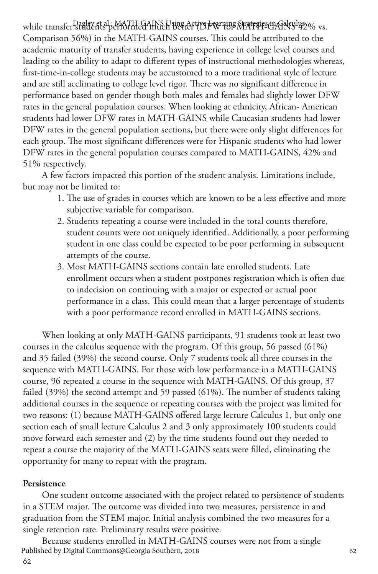while transfer <sup>Dagla</sup>Y.ft.al.idMATH-GAINS Using Acti**ve** For ming Strategies in Galculus 2% vs. Comparison 56%) in the MATH-GAINS courses. This could be attributed to the academic maturity of transfer students, having experience in college level courses and leading to the ability to adapt to different types of instructional methodologies whereas, first-time-in-college students may be accustomed to a more traditional style of lecture and are still acclimating to college level rigor. There was no significant difference in performance based on gender though both males and females had slightly lower DFW rates in the general population courses. When looking at ethnicity, African- American students had lower DFW rates in MATH-GAINS while Caucasian students had lower DFW rates in the general population sections, but there were only slight differences for each group. The most significant differences were for Hispanic students who had lower DFW rates in the general population courses compared to MATH-GAINS, 42% and 51% respectively.

A few factors impacted this portion of the student analysis. Limitations include, but may not be limited to:

- 1. The use of grades in courses which are known to be a less effective and more subjective variable for comparison.
- 2. Students repeating a course were included in the total counts therefore, student counts were not uniquely identified. Additionally, a poor performing student in one class could be expected to be poor performing in subsequent attempts of the course.
- 3. Most MATH-GAINS sections contain late enrolled students. Late enrollment occurs when a student postpones registration which is often due to indecision on continuing with a major or expected or actual poor performance in a class. This could mean that a larger percentage of students with a poor performance record enrolled in MATH-GAINS sections.

When looking at only MATH-GAINS participants, 91 students took at least two courses in the calculus sequence with the program. Of this group, 56 passed (61%) and 35 failed (39%) the second course. Only 7 students took all three courses in the sequence with MATH-GAINS. For those with low performance in a MATH-GAINS course, 96 repeated a course in the sequence with MATH-GAINS. Of this group, 37 failed (39%) the second attempt and 59 passed (61%). The number of students taking additional courses in the sequence or repeating courses with the project was limited for two reasons: (1) because MATH-GAINS offered large lecture Calculus 1, but only one section each of small lecture Calculus 2 and 3 only approximately 100 students could move forward each semester and (2) by the time students found out they needed to repeat a course the majority of the MATH-GAINS seats were filled, eliminating the opportunity for many to repeat with the program.

#### **Persistence**

One student outcome associated with the project related to persistence of students in a STEM major. The outcome was divided into two measures, persistence in and graduation from the STEM major. Initial analysis combined the two measures for a single retention rate. Preliminary results were positive.

Because students enrolled in MATH-GAINS courses were not from a single<br>hed by Digital Commons@Georgia Southern, 2018 Published by Digital Commons@Georgia Southern, 2018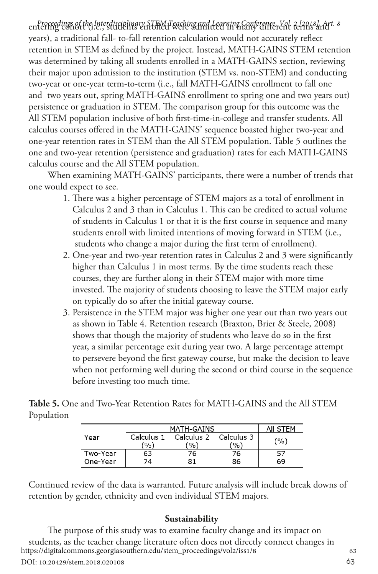entering cohort (i.e., students enrolled were admitted in many different terms and *Proceedings of the Interdisciplinary STEM Teaching and Learning Conference, Vol. 2 [2018], Art. 8* years), a traditional fall- to-fall retention calculation would not accurately reflect retention in STEM as defined by the project. Instead, MATH-GAINS STEM retention was determined by taking all students enrolled in a MATH-GAINS section, reviewing their major upon admission to the institution (STEM vs. non-STEM) and conducting two-year or one-year term-to-term (i.e., fall MATH-GAINS enrollment to fall one and two years out, spring MATH-GAINS enrollment to spring one and two years out) persistence or graduation in STEM. The comparison group for this outcome was the All STEM population inclusive of both first-time-in-college and transfer students. All calculus courses offered in the MATH-GAINS' sequence boasted higher two-year and one-year retention rates in STEM than the All STEM population. Table 5 outlines the one and two-year retention (persistence and graduation) rates for each MATH-GAINS calculus course and the All STEM population.

When examining MATH-GAINS' participants, there were a number of trends that one would expect to see.

- 1. There was a higher percentage of STEM majors as a total of enrollment in Calculus 2 and 3 than in Calculus 1. This can be credited to actual volume of students in Calculus 1 or that it is the first course in sequence and many students enroll with limited intentions of moving forward in STEM (i.e., students who change a major during the first term of enrollment).
- 2. One-year and two-year retention rates in Calculus 2 and 3 were significantly higher than Calculus 1 in most terms. By the time students reach these courses, they are further along in their STEM major with more time invested. The majority of students choosing to leave the STEM major early on typically do so after the initial gateway course.
- 3. Persistence in the STEM major was higher one year out than two years out as shown in Table 4. Retention research (Braxton, Brier & Steele, 2008) shows that though the majority of students who leave do so in the first year, a similar percentage exit during year two. A large percentage attempt to persevere beyond the first gateway course, but make the decision to leave when not performing well during the second or third course in the sequence before investing too much time.

**Table 5.** One and Two-Year Retention Rates for MATH-GAINS and the All STEM Population

|          | MATH-GAINS | AII STEM   |            |     |
|----------|------------|------------|------------|-----|
| Year     | Calculus 1 | Calculus 2 | Calculus 3 | (%) |
|          | (%)        | (%)        | (9/6)      |     |
| Two-Year | 63         | 76         | 76         |     |
| One-Year | 74         | 81         | 86         | 69  |

Continued review of the data is warranted. Future analysis will include break downs of retention by gender, ethnicity and even individual STEM majors.

#### **Sustainability**

The purpose of this study was to examine faculty change and its impact on students, as the teacher change literature often does not directly connect changes in<br>tps://digitalcommons.georgiasouthern.edu/stem\_proceedings/vol2/iss1/8 https://digitalcommons.georgiasouthern.edu/stem\_proceedings/vol2/iss1/8 DOI: 10.20429/stem.2018.020108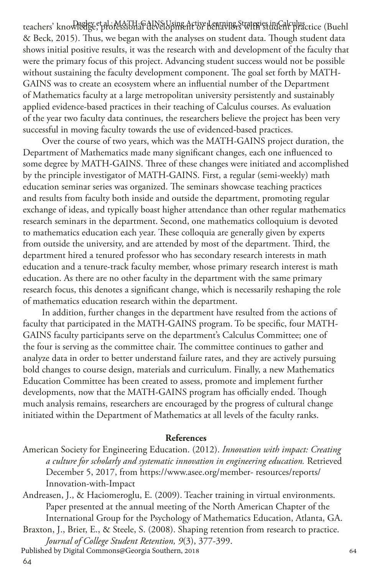teachers' kno<del>wledge et al.: MATH-GAINS</del> Using Active Learning Strategies in Calculus ctice (Buehl & Beck, 2015). Thus, we began with the analyses on student data. Though student data shows initial positive results, it was the research with and development of the faculty that were the primary focus of this project. Advancing student success would not be possible without sustaining the faculty development component. The goal set forth by MATH-GAINS was to create an ecosystem where an influential number of the Department of Mathematics faculty at a large metropolitan university persistently and sustainably applied evidence-based practices in their teaching of Calculus courses. As evaluation of the year two faculty data continues, the researchers believe the project has been very successful in moving faculty towards the use of evidenced-based practices.

Over the course of two years, which was the MATH-GAINS project duration, the Department of Mathematics made many significant changes, each one influenced to some degree by MATH-GAINS. Three of these changes were initiated and accomplished by the principle investigator of MATH-GAINS. First, a regular (semi-weekly) math education seminar series was organized. The seminars showcase teaching practices and results from faculty both inside and outside the department, promoting regular exchange of ideas, and typically boast higher attendance than other regular mathematics research seminars in the department. Second, one mathematics colloquium is devoted to mathematics education each year. These colloquia are generally given by experts from outside the university, and are attended by most of the department. Third, the department hired a tenured professor who has secondary research interests in math education and a tenure-track faculty member, whose primary research interest is math education. As there are no other faculty in the department with the same primary research focus, this denotes a significant change, which is necessarily reshaping the role of mathematics education research within the department.

In addition, further changes in the department have resulted from the actions of faculty that participated in the MATH-GAINS program. To be specific, four MATH-GAINS faculty participants serve on the department's Calculus Committee; one of the four is serving as the committee chair. The committee continues to gather and analyze data in order to better understand failure rates, and they are actively pursuing bold changes to course design, materials and curriculum. Finally, a new Mathematics Education Committee has been created to assess, promote and implement further developments, now that the MATH-GAINS program has officially ended. Though much analysis remains, researchers are encouraged by the progress of cultural change initiated within the Department of Mathematics at all levels of the faculty ranks.

#### **References**

- American Society for Engineering Education. (2012). *Innovation with impact: Creating a culture for scholarly and systematic innovation in engineering education.* Retrieved December 5, 2017, from https://www.asee.org/member- resources/reports/ Innovation-with-Impact
- Andreasen, J., & Haciomeroglu, E. (2009). Teacher training in virtual environments. Paper presented at the annual meeting of the North American Chapter of the International Group for the Psychology of Mathematics Education, Atlanta, GA.
- Braxton, J., Brier, E., & Steele, S. (2008). Shaping retention from research to practice. *Journal of College Student Retention, 9*(3), 377-399.<br>ed by Digital Commons@Georgia Southern, 2018

Published by Digital Commons@Georgia Southern, 2018